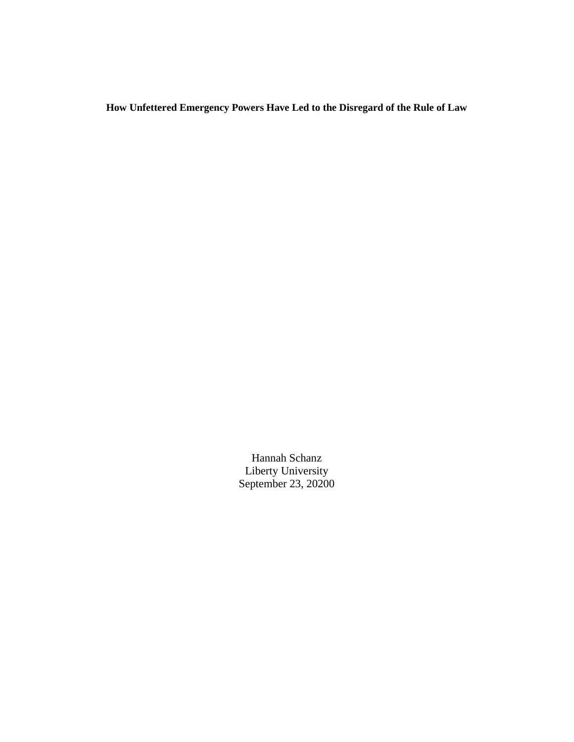**How Unfettered Emergency Powers Have Led to the Disregard of the Rule of Law**

Hannah Schanz Liberty University September 23, 20200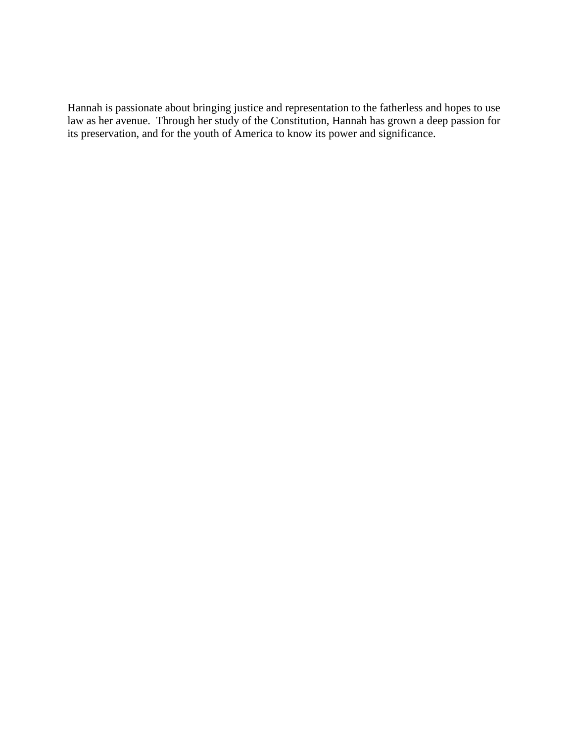Hannah is passionate about bringing justice and representation to the fatherless and hopes to use law as her avenue. Through her study of the Constitution, Hannah has grown a deep passion for its preservation, and for the youth of America to know its power and significance.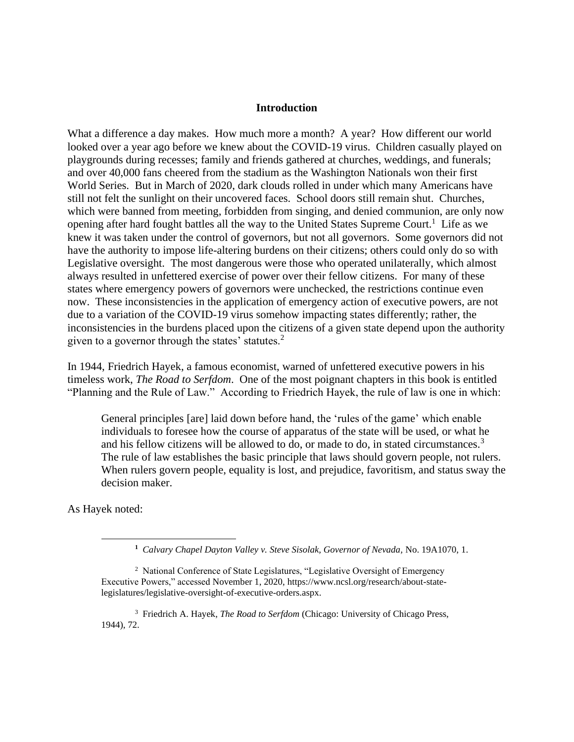#### **Introduction**

What a difference a day makes. How much more a month? A year? How different our world looked over a year ago before we knew about the COVID-19 virus. Children casually played on playgrounds during recesses; family and friends gathered at churches, weddings, and funerals; and over 40,000 fans cheered from the stadium as the Washington Nationals won their first World Series. But in March of 2020, dark clouds rolled in under which many Americans have still not felt the sunlight on their uncovered faces. School doors still remain shut. Churches, which were banned from meeting, forbidden from singing, and denied communion, are only now opening after hard fought battles all the way to the United States Supreme Court.<sup>1</sup> Life as we knew it was taken under the control of governors, but not all governors. Some governors did not have the authority to impose life-altering burdens on their citizens; others could only do so with Legislative oversight. The most dangerous were those who operated unilaterally, which almost always resulted in unfettered exercise of power over their fellow citizens. For many of these states where emergency powers of governors were unchecked, the restrictions continue even now. These inconsistencies in the application of emergency action of executive powers, are not due to a variation of the COVID-19 virus somehow impacting states differently; rather, the inconsistencies in the burdens placed upon the citizens of a given state depend upon the authority given to a governor through the states' statutes.<sup>2</sup>

In 1944, Friedrich Hayek, a famous economist, warned of unfettered executive powers in his timeless work, *The Road to Serfdom*. One of the most poignant chapters in this book is entitled "Planning and the Rule of Law." According to Friedrich Hayek, the rule of law is one in which:

General principles [are] laid down before hand, the 'rules of the game' which enable individuals to foresee how the course of apparatus of the state will be used, or what he and his fellow citizens will be allowed to do, or made to do, in stated circumstances.<sup>3</sup> The rule of law establishes the basic principle that laws should govern people, not rulers. When rulers govern people, equality is lost, and prejudice, favoritism, and status sway the decision maker.

As Hayek noted:

**<sup>1</sup>** *Calvary Chapel Dayton Valley v. Steve Sisolak, Governor of Nevada,* No. 19A1070, 1.

<sup>&</sup>lt;sup>2</sup> National Conference of State Legislatures, "Legislative Oversight of Emergency Executive Powers," accessed November 1, 2020, https://www.ncsl.org/research/about-statelegislatures/legislative-oversight-of-executive-orders.aspx.

<sup>3</sup> Friedrich A. Hayek, *The Road to Serfdom* (Chicago: University of Chicago Press, 1944), 72.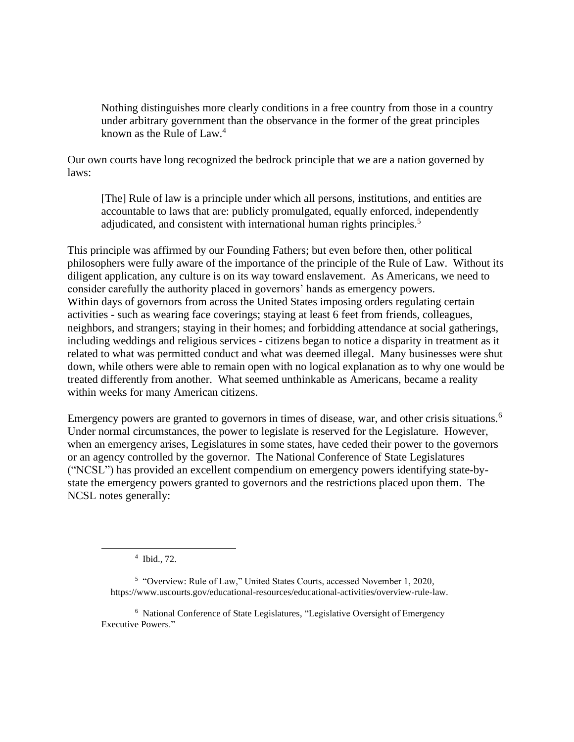Nothing distinguishes more clearly conditions in a free country from those in a country under arbitrary government than the observance in the former of the great principles known as the Rule of Law. $4$ 

Our own courts have long recognized the bedrock principle that we are a nation governed by laws:

[The] Rule of law is a principle under which all persons, institutions, and entities are accountable to laws that are: publicly promulgated, equally enforced, independently adjudicated, and consistent with international human rights principles.<sup>5</sup>

This principle was affirmed by our Founding Fathers; but even before then, other political philosophers were fully aware of the importance of the principle of the Rule of Law. Without its diligent application, any culture is on its way toward enslavement. As Americans, we need to consider carefully the authority placed in governors' hands as emergency powers. Within days of governors from across the United States imposing orders regulating certain activities - such as wearing face coverings; staying at least 6 feet from friends, colleagues, neighbors, and strangers; staying in their homes; and forbidding attendance at social gatherings, including weddings and religious services - citizens began to notice a disparity in treatment as it related to what was permitted conduct and what was deemed illegal. Many businesses were shut down, while others were able to remain open with no logical explanation as to why one would be treated differently from another. What seemed unthinkable as Americans, became a reality within weeks for many American citizens.

Emergency powers are granted to governors in times of disease, war, and other crisis situations.<sup>6</sup> Under normal circumstances, the power to legislate is reserved for the Legislature. However, when an emergency arises, Legislatures in some states, have ceded their power to the governors or an agency controlled by the governor. The National Conference of State Legislatures ("NCSL") has provided an excellent compendium on emergency powers identifying state-bystate the emergency powers granted to governors and the restrictions placed upon them. The NCSL notes generally:

<sup>4</sup> Ibid., 72.

<sup>&</sup>lt;sup>5</sup> "Overview: Rule of Law," United States Courts, accessed November 1, 2020, https://www.uscourts.gov/educational-resources/educational-activities/overview-rule-law.

<sup>6</sup> National Conference of State Legislatures, "Legislative Oversight of Emergency Executive Powers."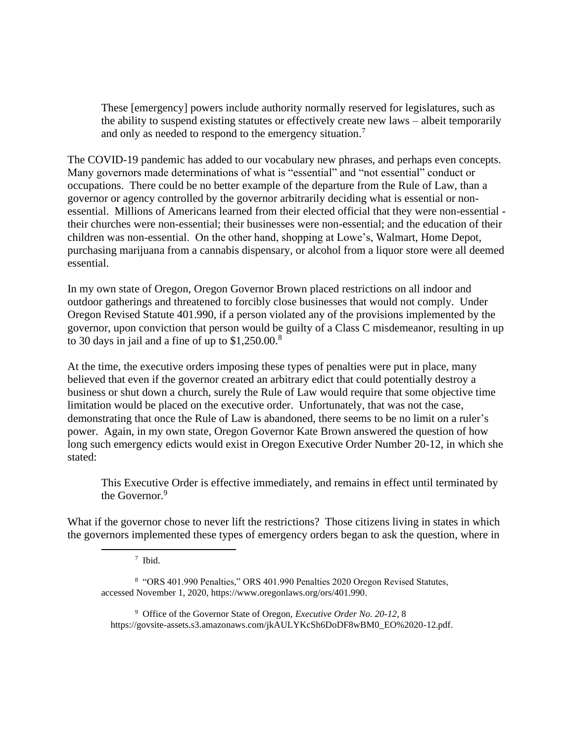These [emergency] powers include authority normally reserved for legislatures, such as the ability to suspend existing statutes or effectively create new laws – albeit temporarily and only as needed to respond to the emergency situation.<sup>7</sup>

The COVID-19 pandemic has added to our vocabulary new phrases, and perhaps even concepts. Many governors made determinations of what is "essential" and "not essential" conduct or occupations. There could be no better example of the departure from the Rule of Law, than a governor or agency controlled by the governor arbitrarily deciding what is essential or nonessential. Millions of Americans learned from their elected official that they were non-essential their churches were non-essential; their businesses were non-essential; and the education of their children was non-essential. On the other hand, shopping at Lowe's, Walmart, Home Depot, purchasing marijuana from a cannabis dispensary, or alcohol from a liquor store were all deemed essential.

In my own state of Oregon, Oregon Governor Brown placed restrictions on all indoor and outdoor gatherings and threatened to forcibly close businesses that would not comply. Under Oregon Revised Statute 401.990, if a person violated any of the provisions implemented by the governor, upon conviction that person would be guilty of a Class C misdemeanor, resulting in up to 30 days in jail and a fine of up to  $$1,250.00$ .<sup>8</sup>

At the time, the executive orders imposing these types of penalties were put in place, many believed that even if the governor created an arbitrary edict that could potentially destroy a business or shut down a church, surely the Rule of Law would require that some objective time limitation would be placed on the executive order. Unfortunately, that was not the case, demonstrating that once the Rule of Law is abandoned, there seems to be no limit on a ruler's power. Again, in my own state, Oregon Governor Kate Brown answered the question of how long such emergency edicts would exist in Oregon Executive Order Number 20-12, in which she stated:

This Executive Order is effective immediately, and remains in effect until terminated by the Governor.<sup>9</sup>

What if the governor chose to never lift the restrictions? Those citizens living in states in which the governors implemented these types of emergency orders began to ask the question, where in

<sup>8</sup> "ORS 401.990 Penalties," ORS 401.990 Penalties 2020 Oregon Revised Statutes, accessed November 1, 2020, https://www.oregonlaws.org/ors/401.990.

<sup>9</sup> Office of the Governor State of Oregon, *Executive Order No. 20-12,* 8 https://govsite-assets.s3.amazonaws.com/jkAULYKcSh6DoDF8wBM0\_EO%2020-12.pdf.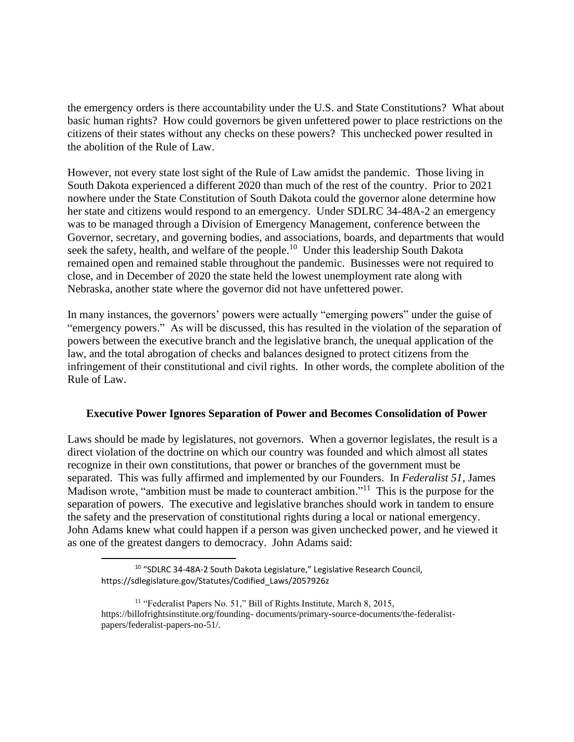the emergency orders is there accountability under the U.S. and State Constitutions? What about basic human rights? How could governors be given unfettered power to place restrictions on the citizens of their states without any checks on these powers? This unchecked power resulted in the abolition of the Rule of Law.

However, not every state lost sight of the Rule of Law amidst the pandemic. Those living in South Dakota experienced a different 2020 than much of the rest of the country. Prior to 2021 nowhere under the State Constitution of South Dakota could the governor alone determine how her state and citizens would respond to an emergency. Under SDLRC 34-48A-2 an emergency was to be managed through a Division of Emergency Management, conference between the Governor, secretary, and governing bodies, and associations, boards, and departments that would seek the safety, health, and welfare of the people.<sup>10</sup> Under this leadership South Dakota remained open and remained stable throughout the pandemic. Businesses were not required to close, and in December of 2020 the state held the lowest unemployment rate along with Nebraska, another state where the governor did not have unfettered power.

In many instances, the governors' powers were actually "emerging powers" under the guise of "emergency powers." As will be discussed, this has resulted in the violation of the separation of powers between the executive branch and the legislative branch, the unequal application of the law, and the total abrogation of checks and balances designed to protect citizens from the infringement of their constitutional and civil rights. In other words, the complete abolition of the Rule of Law.

## **Executive Power Ignores Separation of Power and Becomes Consolidation of Power**

Laws should be made by legislatures, not governors. When a governor legislates, the result is a direct violation of the doctrine on which our country was founded and which almost all states recognize in their own constitutions, that power or branches of the government must be separated. This was fully affirmed and implemented by our Founders. In *Federalist 51*, James Madison wrote, "ambition must be made to counteract ambition."<sup>11</sup> This is the purpose for the separation of powers. The executive and legislative branches should work in tandem to ensure the safety and the preservation of constitutional rights during a local or national emergency. John Adams knew what could happen if a person was given unchecked power, and he viewed it as one of the greatest dangers to democracy. John Adams said:

<sup>10</sup> "SDLRC 34-48A-2 South Dakota Legislature," Legislative Research Council, https://sdlegislature.gov/Statutes/Codified\_Laws/2057926z

<sup>&</sup>lt;sup>11</sup> "Federalist Papers No. 51," Bill of Rights Institute, March 8, 2015, https://billofrightsinstitute.org/founding- documents/primary-source-documents/the-federalistpapers/federalist-papers-no-51/.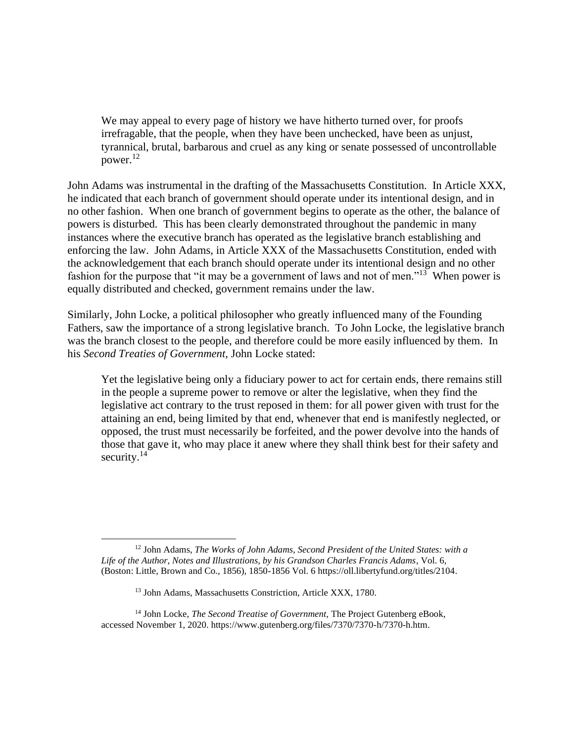We may appeal to every page of history we have hitherto turned over, for proofs irrefragable, that the people, when they have been unchecked, have been as unjust, tyrannical, brutal, barbarous and cruel as any king or senate possessed of uncontrollable power. $^{12}$ 

John Adams was instrumental in the drafting of the Massachusetts Constitution. In Article XXX, he indicated that each branch of government should operate under its intentional design, and in no other fashion. When one branch of government begins to operate as the other, the balance of powers is disturbed. This has been clearly demonstrated throughout the pandemic in many instances where the executive branch has operated as the legislative branch establishing and enforcing the law. John Adams, in Article XXX of the Massachusetts Constitution, ended with the acknowledgement that each branch should operate under its intentional design and no other fashion for the purpose that "it may be a government of laws and not of men."<sup>13</sup> When power is equally distributed and checked, government remains under the law.

Similarly, John Locke, a political philosopher who greatly influenced many of the Founding Fathers, saw the importance of a strong legislative branch. To John Locke, the legislative branch was the branch closest to the people, and therefore could be more easily influenced by them. In his *Second Treaties of Government,* John Locke stated:

Yet the legislative being only a fiduciary power to act for certain ends, there remains still in the people a supreme power to remove or alter the legislative, when they find the legislative act contrary to the trust reposed in them: for all power given with trust for the attaining an end, being limited by that end, whenever that end is manifestly neglected, or opposed, the trust must necessarily be forfeited, and the power devolve into the hands of those that gave it, who may place it anew where they shall think best for their safety and security. $14$ 

<sup>12</sup> John Adams, *The Works of John Adams, Second President of the United States: with a Life of the Author, Notes and Illustrations, by his Grandson Charles Francis Adams*, Vol. 6, (Boston: Little, Brown and Co., 1856), 1850-1856 Vol. 6 https://oll.libertyfund.org/titles/2104.

<sup>13</sup> John Adams, Massachusetts Constriction, Article XXX, 1780.

<sup>&</sup>lt;sup>14</sup> John Locke, *The Second Treatise of Government*, The Project Gutenberg eBook, accessed November 1, 2020. https://www.gutenberg.org/files/7370/7370-h/7370-h.htm.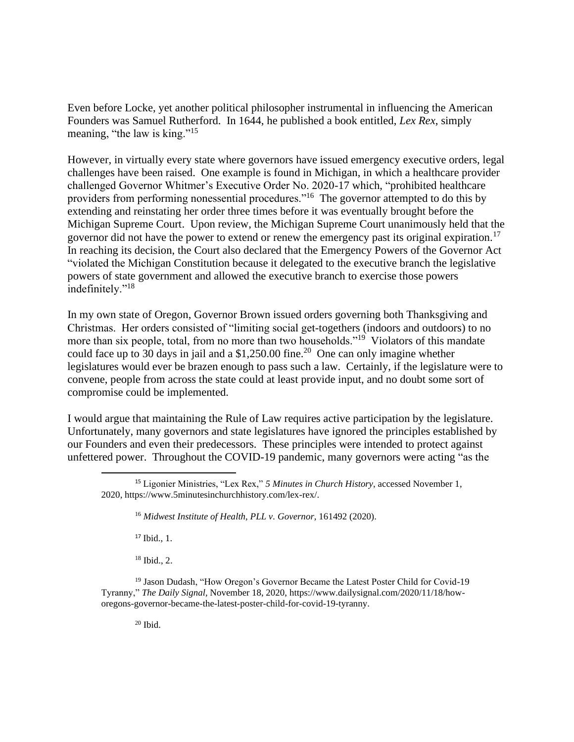Even before Locke, yet another political philosopher instrumental in influencing the American Founders was Samuel Rutherford. In 1644, he published a book entitled, *Lex Rex*, simply meaning, "the law is king."<sup>15</sup>

However, in virtually every state where governors have issued emergency executive orders, legal challenges have been raised. One example is found in Michigan, in which a healthcare provider challenged Governor Whitmer's Executive Order No. 2020-17 which, "prohibited healthcare providers from performing nonessential procedures."<sup>16</sup> The governor attempted to do this by extending and reinstating her order three times before it was eventually brought before the Michigan Supreme Court. Upon review, the Michigan Supreme Court unanimously held that the governor did not have the power to extend or renew the emergency past its original expiration.<sup>17</sup> In reaching its decision, the Court also declared that the Emergency Powers of the Governor Act "violated the Michigan Constitution because it delegated to the executive branch the legislative powers of state government and allowed the executive branch to exercise those powers indefinitely."<sup>18</sup>

In my own state of Oregon, Governor Brown issued orders governing both Thanksgiving and Christmas. Her orders consisted of "limiting social get-togethers (indoors and outdoors) to no more than six people, total, from no more than two households."<sup>19</sup> Violators of this mandate could face up to 30 days in jail and a \$1,250.00 fine.<sup>20</sup> One can only imagine whether legislatures would ever be brazen enough to pass such a law. Certainly, if the legislature were to convene, people from across the state could at least provide input, and no doubt some sort of compromise could be implemented.

I would argue that maintaining the Rule of Law requires active participation by the legislature. Unfortunately, many governors and state legislatures have ignored the principles established by our Founders and even their predecessors. These principles were intended to protect against unfettered power. Throughout the COVID-19 pandemic, many governors were acting "as the

<sup>17</sup> Ibid., 1.

<sup>18</sup> Ibid., 2.

<sup>19</sup> Jason Dudash, "How Oregon's Governor Became the Latest Poster Child for Covid-19 Tyranny," *The Daily Signal,* November 18, 2020, https://www.dailysignal.com/2020/11/18/howoregons-governor-became-the-latest-poster-child-for-covid-19-tyranny.

<sup>15</sup> Ligonier Ministries, "Lex Rex," *5 Minutes in Church History*, accessed November 1, 2020, https://www.5minutesinchurchhistory.com/lex-rex/.

<sup>16</sup> *Midwest Institute of Health, PLL v. Governor,* 161492 (2020).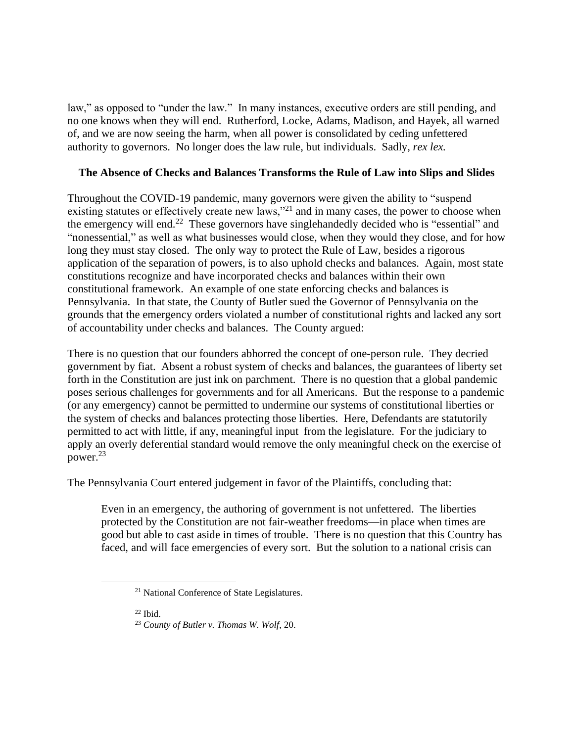law," as opposed to "under the law." In many instances, executive orders are still pending, and no one knows when they will end. Rutherford, Locke, Adams, Madison, and Hayek, all warned of, and we are now seeing the harm, when all power is consolidated by ceding unfettered authority to governors. No longer does the law rule, but individuals. Sadly, *rex lex.*

# **The Absence of Checks and Balances Transforms the Rule of Law into Slips and Slides**

Throughout the COVID-19 pandemic, many governors were given the ability to "suspend existing statutes or effectively create new laws,"<sup>21</sup> and in many cases, the power to choose when the emergency will end.<sup>22</sup> These governors have singlehandedly decided who is "essential" and "nonessential," as well as what businesses would close, when they would they close, and for how long they must stay closed. The only way to protect the Rule of Law, besides a rigorous application of the separation of powers, is to also uphold checks and balances. Again, most state constitutions recognize and have incorporated checks and balances within their own constitutional framework. An example of one state enforcing checks and balances is Pennsylvania. In that state, the County of Butler sued the Governor of Pennsylvania on the grounds that the emergency orders violated a number of constitutional rights and lacked any sort of accountability under checks and balances. The County argued:

There is no question that our founders abhorred the concept of one-person rule. They decried government by fiat. Absent a robust system of checks and balances, the guarantees of liberty set forth in the Constitution are just ink on parchment. There is no question that a global pandemic poses serious challenges for governments and for all Americans. But the response to a pandemic (or any emergency) cannot be permitted to undermine our systems of constitutional liberties or the system of checks and balances protecting those liberties. Here, Defendants are statutorily permitted to act with little, if any, meaningful input from the legislature. For the judiciary to apply an overly deferential standard would remove the only meaningful check on the exercise of power.<sup>23</sup>

The Pennsylvania Court entered judgement in favor of the Plaintiffs, concluding that:

Even in an emergency, the authoring of government is not unfettered. The liberties protected by the Constitution are not fair-weather freedoms—in place when times are good but able to cast aside in times of trouble. There is no question that this Country has faced, and will face emergencies of every sort. But the solution to a national crisis can

<sup>21</sup> National Conference of State Legislatures.

<sup>23</sup> *County of Butler v. Thomas W. Wolf*, 20.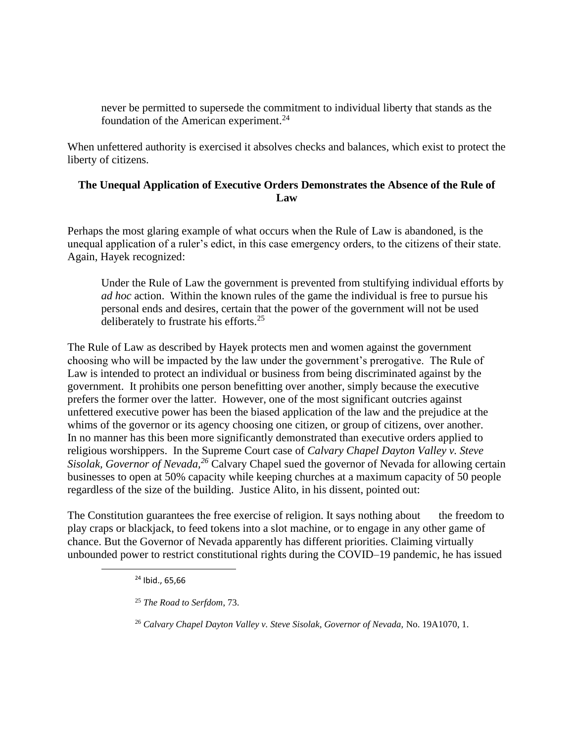never be permitted to supersede the commitment to individual liberty that stands as the foundation of the American experiment. $^{24}$ 

When unfettered authority is exercised it absolves checks and balances, which exist to protect the liberty of citizens.

# **The Unequal Application of Executive Orders Demonstrates the Absence of the Rule of Law**

Perhaps the most glaring example of what occurs when the Rule of Law is abandoned, is the unequal application of a ruler's edict, in this case emergency orders, to the citizens of their state. Again, Hayek recognized:

Under the Rule of Law the government is prevented from stultifying individual efforts by *ad hoc* action. Within the known rules of the game the individual is free to pursue his personal ends and desires, certain that the power of the government will not be used deliberately to frustrate his efforts.<sup>25</sup>

The Rule of Law as described by Hayek protects men and women against the government choosing who will be impacted by the law under the government's prerogative. The Rule of Law is intended to protect an individual or business from being discriminated against by the government. It prohibits one person benefitting over another, simply because the executive prefers the former over the latter. However, one of the most significant outcries against unfettered executive power has been the biased application of the law and the prejudice at the whims of the governor or its agency choosing one citizen, or group of citizens, over another. In no manner has this been more significantly demonstrated than executive orders applied to religious worshippers. In the Supreme Court case of *Calvary Chapel Dayton Valley v. Steve Sisolak, Governor of Nevada,<sup>26</sup>* Calvary Chapel sued the governor of Nevada for allowing certain businesses to open at 50% capacity while keeping churches at a maximum capacity of 50 people regardless of the size of the building. Justice Alito, in his dissent, pointed out:

The Constitution guarantees the free exercise of religion. It says nothing about the freedom to play craps or blackjack, to feed tokens into a slot machine, or to engage in any other game of chance. But the Governor of Nevada apparently has different priorities. Claiming virtually unbounded power to restrict constitutional rights during the COVID–19 pandemic, he has issued

<sup>26</sup> *Calvary Chapel Dayton Valley v. Steve Sisolak, Governor of Nevada,* No. 19A1070, 1.

<sup>24</sup> Ibid., 65,66

<sup>25</sup> *The Road to Serfdom*, 73.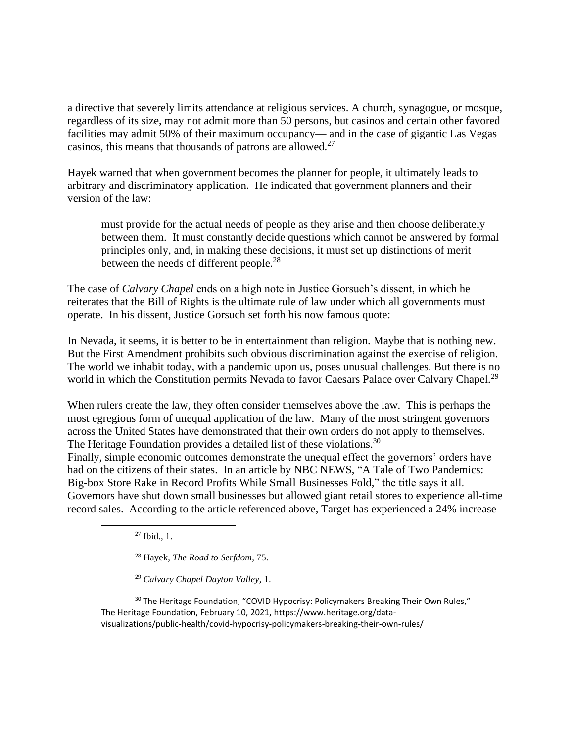a directive that severely limits attendance at religious services. A church, synagogue, or mosque, regardless of its size, may not admit more than 50 persons, but casinos and certain other favored facilities may admit 50% of their maximum occupancy— and in the case of gigantic Las Vegas casinos, this means that thousands of patrons are allowed.<sup>27</sup>

Hayek warned that when government becomes the planner for people, it ultimately leads to arbitrary and discriminatory application. He indicated that government planners and their version of the law:

must provide for the actual needs of people as they arise and then choose deliberately between them. It must constantly decide questions which cannot be answered by formal principles only, and, in making these decisions, it must set up distinctions of merit between the needs of different people.<sup>28</sup>

The case of *Calvary Chapel* ends on a high note in Justice Gorsuch's dissent, in which he reiterates that the Bill of Rights is the ultimate rule of law under which all governments must operate. In his dissent, Justice Gorsuch set forth his now famous quote:

In Nevada, it seems, it is better to be in entertainment than religion. Maybe that is nothing new. But the First Amendment prohibits such obvious discrimination against the exercise of religion. The world we inhabit today, with a pandemic upon us, poses unusual challenges. But there is no world in which the Constitution permits Nevada to favor Caesars Palace over Calvary Chapel.<sup>29</sup>

When rulers create the law, they often consider themselves above the law. This is perhaps the most egregious form of unequal application of the law. Many of the most stringent governors across the United States have demonstrated that their own orders do not apply to themselves. The Heritage Foundation provides a detailed list of these violations.<sup>30</sup>

Finally, simple economic outcomes demonstrate the unequal effect the governors' orders have had on the citizens of their states. In an article by NBC NEWS, "A Tale of Two Pandemics: Big-box Store Rake in Record Profits While Small Businesses Fold," the title says it all. Governors have shut down small businesses but allowed giant retail stores to experience all-time record sales. According to the article referenced above, Target has experienced a 24% increase

<sup>27</sup> Ibid., 1.

<sup>28</sup> Hayek, *The Road to Serfdom,* 75.

<sup>29</sup> *Calvary Chapel Dayton Valley*, 1.

 $30$  The Heritage Foundation, "COVID Hypocrisy: Policymakers Breaking Their Own Rules," The Heritage Foundation, February 10, 2021, https://www.heritage.org/datavisualizations/public-health/covid-hypocrisy-policymakers-breaking-their-own-rules/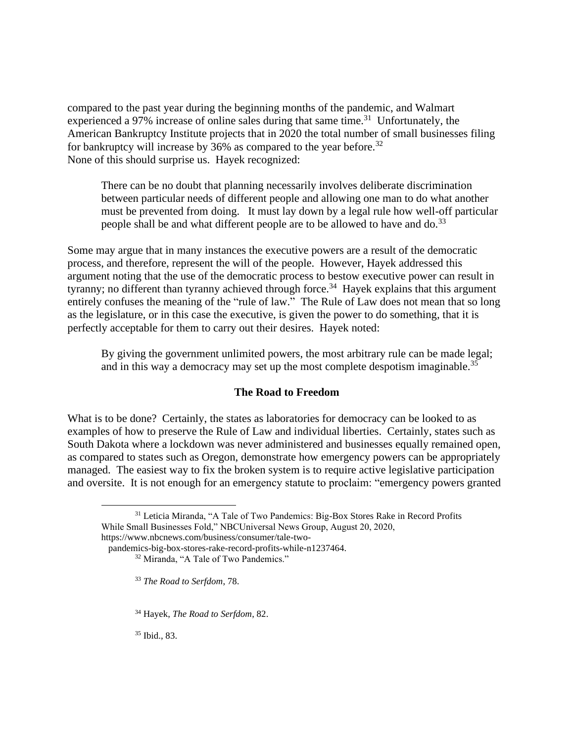compared to the past year during the beginning months of the pandemic, and Walmart experienced a 97% increase of online sales during that same time.<sup>31</sup> Unfortunately, the American Bankruptcy Institute projects that in 2020 the total number of small businesses filing for bankruptcy will increase by 36% as compared to the year before.<sup>32</sup> None of this should surprise us. Hayek recognized:

There can be no doubt that planning necessarily involves deliberate discrimination between particular needs of different people and allowing one man to do what another must be prevented from doing. It must lay down by a legal rule how well-off particular people shall be and what different people are to be allowed to have and do.<sup>33</sup>

Some may argue that in many instances the executive powers are a result of the democratic process, and therefore, represent the will of the people. However, Hayek addressed this argument noting that the use of the democratic process to bestow executive power can result in tyranny; no different than tyranny achieved through force.<sup>34</sup> Hayek explains that this argument entirely confuses the meaning of the "rule of law." The Rule of Law does not mean that so long as the legislature, or in this case the executive, is given the power to do something, that it is perfectly acceptable for them to carry out their desires. Hayek noted:

By giving the government unlimited powers, the most arbitrary rule can be made legal; and in this way a democracy may set up the most complete despotism imaginable.<sup>35</sup>

## **The Road to Freedom**

What is to be done? Certainly, the states as laboratories for democracy can be looked to as examples of how to preserve the Rule of Law and individual liberties. Certainly, states such as South Dakota where a lockdown was never administered and businesses equally remained open, as compared to states such as Oregon, demonstrate how emergency powers can be appropriately managed. The easiest way to fix the broken system is to require active legislative participation and oversite. It is not enough for an emergency statute to proclaim: "emergency powers granted

<sup>35</sup> Ibid., 83.

<sup>31</sup> Leticia Miranda, "A Tale of Two Pandemics: Big-Box Stores Rake in Record Profits While Small Businesses Fold," NBCUniversal News Group, August 20, 2020,

https://www.nbcnews.com/business/consumer/tale-two-

pandemics-big-box-stores-rake-record-profits-while-n1237464.

<sup>32</sup> Miranda, "A Tale of Two Pandemics."

<sup>33</sup> *The Road to Serfdom*, 78.

<sup>34</sup> Hayek, *The Road to Serfdom*, 82.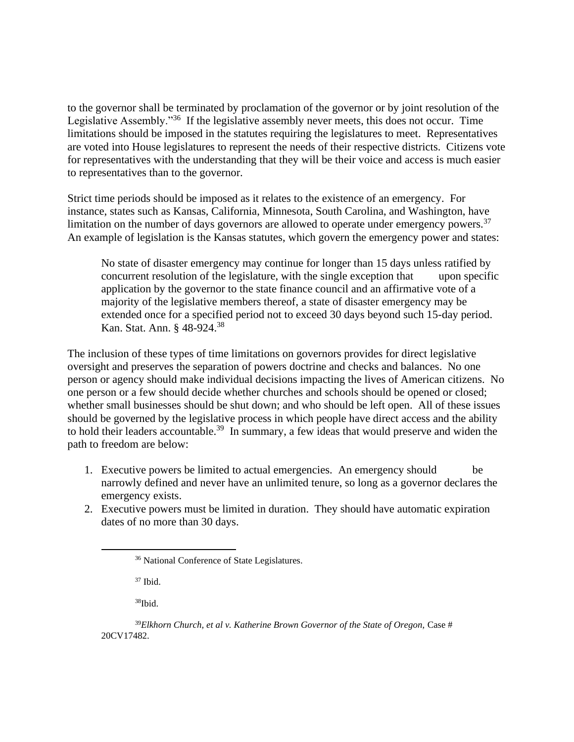to the governor shall be terminated by proclamation of the governor or by joint resolution of the Legislative Assembly."<sup>36</sup> If the legislative assembly never meets, this does not occur. Time limitations should be imposed in the statutes requiring the legislatures to meet. Representatives are voted into House legislatures to represent the needs of their respective districts. Citizens vote for representatives with the understanding that they will be their voice and access is much easier to representatives than to the governor.

Strict time periods should be imposed as it relates to the existence of an emergency. For instance, states such as Kansas, California, Minnesota, South Carolina, and Washington, have limitation on the number of days governors are allowed to operate under emergency powers. $37$ An example of legislation is the Kansas statutes, which govern the emergency power and states:

No state of disaster emergency may continue for longer than 15 days unless ratified by concurrent resolution of the legislature, with the single exception that upon specific application by the governor to the state finance council and an affirmative vote of a majority of the legislative members thereof, a state of disaster emergency may be extended once for a specified period not to exceed 30 days beyond such 15-day period. Kan. Stat. Ann. § 48-924.<sup>38</sup>

The inclusion of these types of time limitations on governors provides for direct legislative oversight and preserves the separation of powers doctrine and checks and balances. No one person or agency should make individual decisions impacting the lives of American citizens. No one person or a few should decide whether churches and schools should be opened or closed; whether small businesses should be shut down; and who should be left open. All of these issues should be governed by the legislative process in which people have direct access and the ability to hold their leaders accountable.<sup>39</sup> In summary, a few ideas that would preserve and widen the path to freedom are below:

- 1. Executive powers be limited to actual emergencies. An emergency should be narrowly defined and never have an unlimited tenure, so long as a governor declares the emergency exists.
- 2. Executive powers must be limited in duration. They should have automatic expiration dates of no more than 30 days.

<sup>37</sup> Ibid.

<sup>36</sup> National Conference of State Legislatures.

<sup>&</sup>lt;sup>39</sup>Elkhorn Church, et al v. Katherine Brown Governor of the State of Oregon, Case # 20CV17482.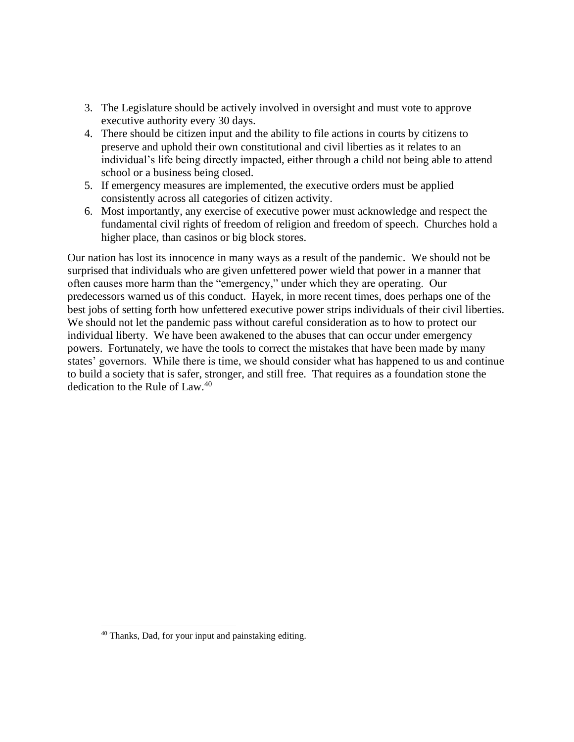- 3. The Legislature should be actively involved in oversight and must vote to approve executive authority every 30 days.
- 4. There should be citizen input and the ability to file actions in courts by citizens to preserve and uphold their own constitutional and civil liberties as it relates to an individual's life being directly impacted, either through a child not being able to attend school or a business being closed.
- 5. If emergency measures are implemented, the executive orders must be applied consistently across all categories of citizen activity.
- 6. Most importantly, any exercise of executive power must acknowledge and respect the fundamental civil rights of freedom of religion and freedom of speech. Churches hold a higher place, than casinos or big block stores.

Our nation has lost its innocence in many ways as a result of the pandemic. We should not be surprised that individuals who are given unfettered power wield that power in a manner that often causes more harm than the "emergency," under which they are operating. Our predecessors warned us of this conduct. Hayek, in more recent times, does perhaps one of the best jobs of setting forth how unfettered executive power strips individuals of their civil liberties. We should not let the pandemic pass without careful consideration as to how to protect our individual liberty. We have been awakened to the abuses that can occur under emergency powers. Fortunately, we have the tools to correct the mistakes that have been made by many states' governors. While there is time, we should consider what has happened to us and continue to build a society that is safer, stronger, and still free. That requires as a foundation stone the dedication to the Rule of Law.<sup>40</sup>

<sup>40</sup> Thanks, Dad, for your input and painstaking editing.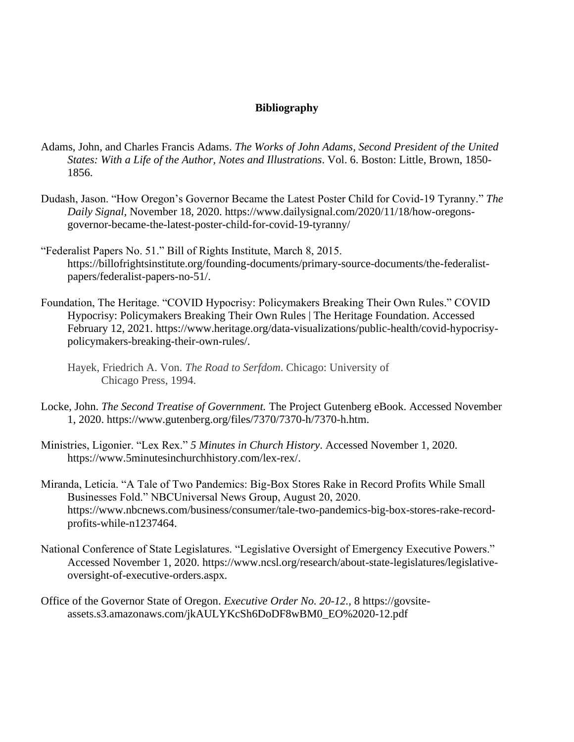# **Bibliography**

- Adams, John, and Charles Francis Adams. *The Works of John Adams, Second President of the United States: With a Life of the Author, Notes and Illustrations*. Vol. 6. Boston: Little, Brown, 1850- 1856.
- Dudash, Jason. "How Oregon's Governor Became the Latest Poster Child for Covid-19 Tyranny." *The Daily Signal,* November 18, 2020. https://www.dailysignal.com/2020/11/18/how-oregonsgovernor-became-the-latest-poster-child-for-covid-19-tyranny/
- "Federalist Papers No. 51." Bill of Rights Institute, March 8, 2015. https://billofrightsinstitute.org/founding-documents/primary-source-documents/the-federalistpapers/federalist-papers-no-51/.
- Foundation, The Heritage. "COVID Hypocrisy: Policymakers Breaking Their Own Rules." COVID Hypocrisy: Policymakers Breaking Their Own Rules | The Heritage Foundation. Accessed February 12, 2021. https://www.heritage.org/data-visualizations/public-health/covid-hypocrisypolicymakers-breaking-their-own-rules/.
	- Hayek, Friedrich A. Von. *The Road to Serfdom*. Chicago: University of Chicago Press, 1994.
- Locke, John. *The Second Treatise of Government.* The Project Gutenberg eBook. Accessed November 1, 2020. https://www.gutenberg.org/files/7370/7370-h/7370-h.htm.
- Ministries, Ligonier. "Lex Rex." *5 Minutes in Church History*. Accessed November 1, 2020. https://www.5minutesinchurchhistory.com/lex-rex/.
- Miranda, Leticia. "A Tale of Two Pandemics: Big-Box Stores Rake in Record Profits While Small Businesses Fold." NBCUniversal News Group, August 20, 2020. https://www.nbcnews.com/business/consumer/tale-two-pandemics-big-box-stores-rake-recordprofits-while-n1237464.
- National Conference of State Legislatures. "Legislative Oversight of Emergency Executive Powers." Accessed November 1, 2020. https://www.ncsl.org/research/about-state-legislatures/legislativeoversight-of-executive-orders.aspx.
- Office of the Governor State of Oregon. *Executive Order No. 20-12.,* 8 https://govsiteassets.s3.amazonaws.com/jkAULYKcSh6DoDF8wBM0\_EO%2020-12.pdf